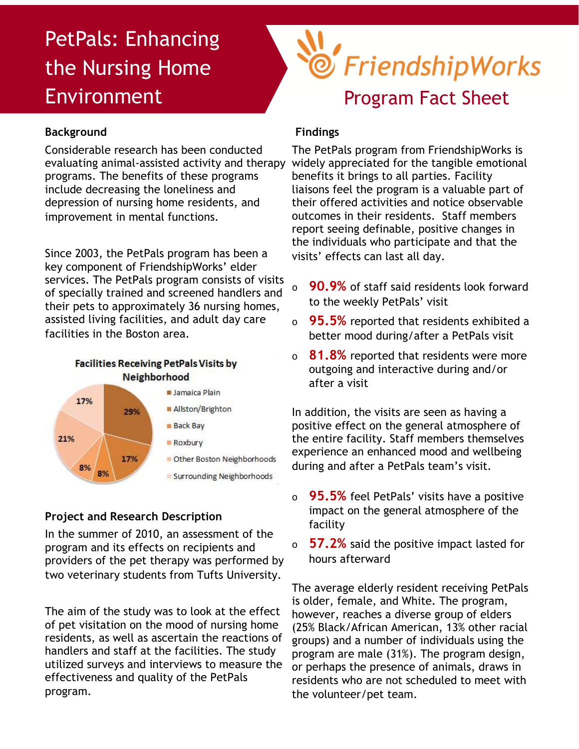# PetPals: Enhancing the Nursing Home Environment

## **Background**

Considerable research has been conducted evaluating animal-assisted activity and therapy programs. The benefits of these programs include decreasing the loneliness and depression of nursing home residents, and improvement in mental functions.

Since 2003, the PetPals program has been a key component of FriendshipWorks' elder services. The PetPals program consists of visits of specially trained and screened handlers and their pets to approximately 36 nursing homes, assisted living facilities, and adult day care facilities in the Boston area.





### **Project and Research Description**

In the summer of 2010, an assessment of the program and its effects on recipients and providers of the pet therapy was performed by two veterinary students from Tufts University.

The aim of the study was to look at the effect of pet visitation on the mood of nursing home residents, as well as ascertain the reactions of handlers and staff at the facilities. The study utilized surveys and interviews to measure the effectiveness and quality of the PetPals program.



#### **Findings**

The PetPals program from FriendshipWorks is widely appreciated for the tangible emotional benefits it brings to all parties. Facility liaisons feel the program is a valuable part of their offered activities and notice observable outcomes in their residents. Staff members report seeing definable, positive changes in the individuals who participate and that the visits' effects can last all day.

- ο **90.9%** of staff said residents look forward to the weekly PetPals' visit
- ο **95.5%** reported that residents exhibited a better mood during/after a PetPals visit
- ο **81.8%** reported that residents were more outgoing and interactive during and/or after a visit

In addition, the visits are seen as having a positive effect on the general atmosphere of the entire facility. Staff members themselves experience an enhanced mood and wellbeing during and after a PetPals team's visit.

- ο **95.5%** feel PetPals' visits have a positive impact on the general atmosphere of the facility
- ο **57.2%** said the positive impact lasted for hours afterward

The average elderly resident receiving PetPals is older, female, and White. The program, however, reaches a diverse group of elders (25% Black/African American, 13% other racial groups) and a number of individuals using the program are male (31%). The program design, or perhaps the presence of animals, draws in residents who are not scheduled to meet with the volunteer/pet team.